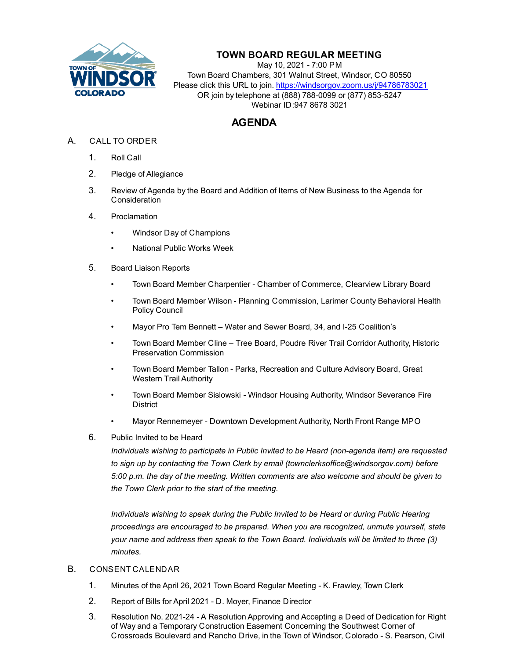

## **TOWN BOARD REGULAR MEETING**

May 10, 2021 - 7:00 PM Town Board Chambers, 301 Walnut Street, Windsor, CO 80550 Please click this URL to join. https://windsorgov.zoom.us/j/94786783021 OR join by telephone at (888) 788-0099 or (877) 853-5247 Webinar ID:947 8678 3021

## **AGENDA**

- A. CALL TO ORDER
	- 1. Roll Call
	- 2. Pledge of Allegiance
	- 3. Review of Agenda by the Board and Addition of Items of New Business to the Agenda for **Consideration**
	- 4. Proclamation
		- Windsor Day of Champions
		- National Public Works Week
	- 5. Board Liaison Reports
		- Town Board Member Charpentier Chamber of Commerce, Clearview Library Board
		- Town Board Member Wilson Planning Commission, Larimer County Behavioral Health Policy Council
		- Mayor Pro Tem Bennett Water and Sewer Board, 34, and I-25 Coalition's
		- Town Board Member Cline Tree Board, Poudre River Trail Corridor Authority, Historic Preservation Commission
		- Town Board Member Tallon Parks, Recreation and Culture Advisory Board, Great Western Trail Authority
		- Town Board Member Sislowski Windsor Housing Authority, Windsor Severance Fire **District**
		- Mayor Rennemeyer Downtown Development Authority, North Front Range MPO
	- 6. Public Invited to be Heard

*Individuals wishing to participate in Public Invited to be Heard (non-agenda item) are requested to sign up by contacting the Town Clerk by email (townclerksoffice@windsorgov.com) before 5:00 p.m. the day of the meeting. Written comments are also welcome and should be given to the Town Clerk prior to the start of the meeting.*

*Individuals wishing to speak during the Public Invited to be Heard or during Public Hearing proceedings are encouraged to be prepared. When you are recognized, unmute yourself, state your name and address then speak to the Town Board. Individuals will be limited to three (3) minutes.* 

## B. CONSENT CALENDAR

- 1. [Minutes of the April 26, 2021 Town Board Regular Meeting K. Frawley, Town Clerk](file:///C:/Windows/TEMP/CoverSheet.aspx?ItemID=1411&MeetingID=254)
- 2. [Report of Bills for April 2021 D. Moyer, Finance Director](file:///C:/Windows/TEMP/CoverSheet.aspx?ItemID=1423&MeetingID=254)
- 3. Resolution No. 2021-24 A Resolution Approving and Accepting a Deed of Dedication for Right of Way and a Temporary Construction Easement Concerning the Southwest Corner of Crossroads Boulevard and Rancho Drive, in the Town of Windsor, Colorado - S. Pearson, Civil